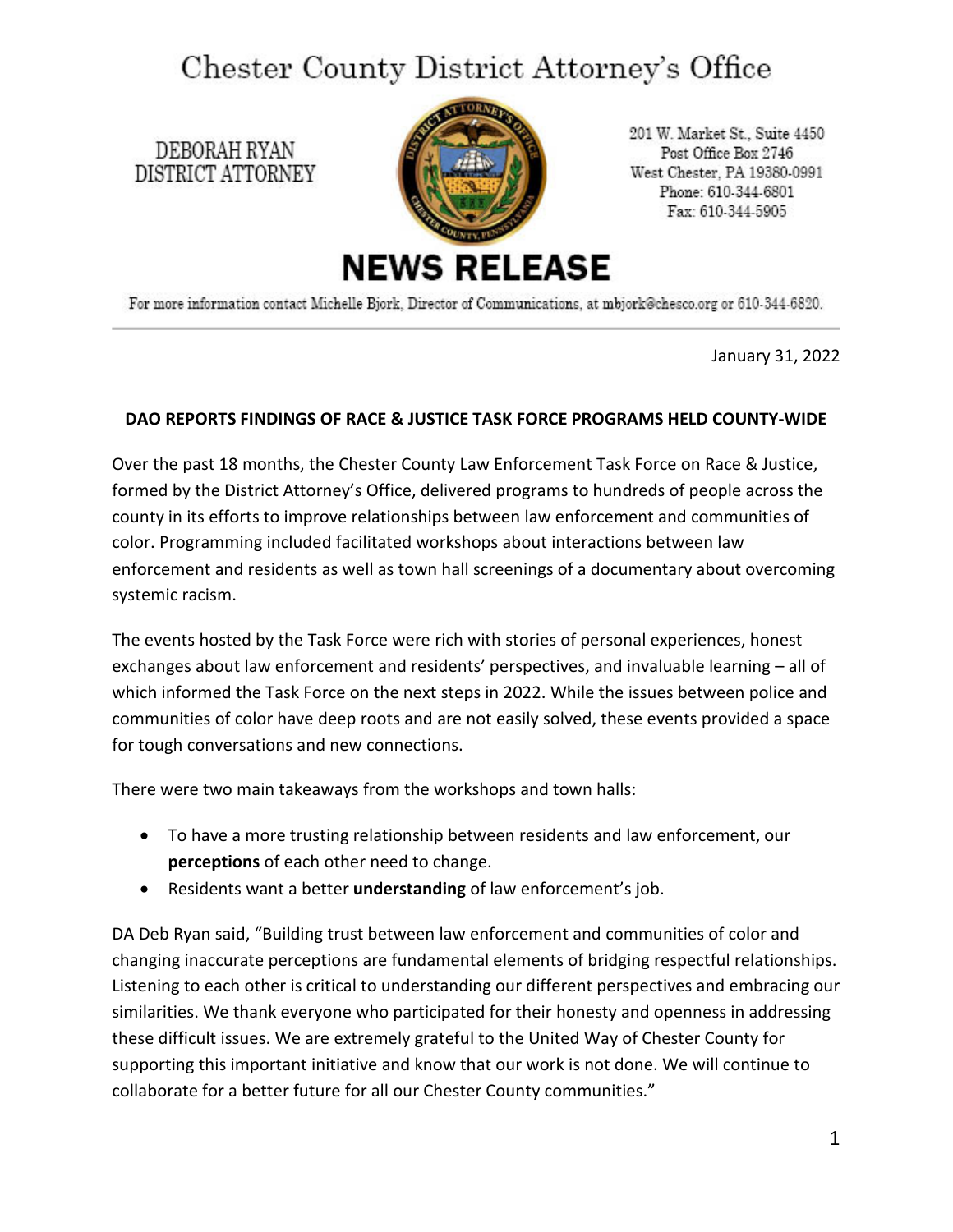## Chester County District Attorney's Office

DEBORAH RYAN DISTRICT ATTORNEY



201 W. Market St., Suite 4450 Post Office Box 2746 West Chester, PA 19380-0991 Phone: 610-344-6801 Fax: 610-344-5905

For more information contact Michelle Bjork, Director of Communications, at mbjork@chesco.org or 610-344-6820.

January 31, 2022

## **DAO REPORTS FINDINGS OF RACE & JUSTICE TASK FORCE PROGRAMS HELD COUNTY-WIDE**

Over the past 18 months, the Chester County Law Enforcement Task Force on Race & Justice, formed by the District Attorney's Office, delivered programs to hundreds of people across the county in its efforts to improve relationships between law enforcement and communities of color. Programming included facilitated workshops about interactions between law enforcement and residents as well as town hall screenings of a documentary about overcoming systemic racism.

The events hosted by the Task Force were rich with stories of personal experiences, honest exchanges about law enforcement and residents' perspectives, and invaluable learning – all of which informed the Task Force on the next steps in 2022. While the issues between police and communities of color have deep roots and are not easily solved, these events provided a space for tough conversations and new connections.

There were two main takeaways from the workshops and town halls:

- To have a more trusting relationship between residents and law enforcement, our **perceptions** of each other need to change.
- Residents want a better **understanding** of law enforcement's job.

DA Deb Ryan said, "Building trust between law enforcement and communities of color and changing inaccurate perceptions are fundamental elements of bridging respectful relationships. Listening to each other is critical to understanding our different perspectives and embracing our similarities. We thank everyone who participated for their honesty and openness in addressing these difficult issues. We are extremely grateful to the United Way of Chester County for supporting this important initiative and know that our work is not done. We will continue to collaborate for a better future for all our Chester County communities."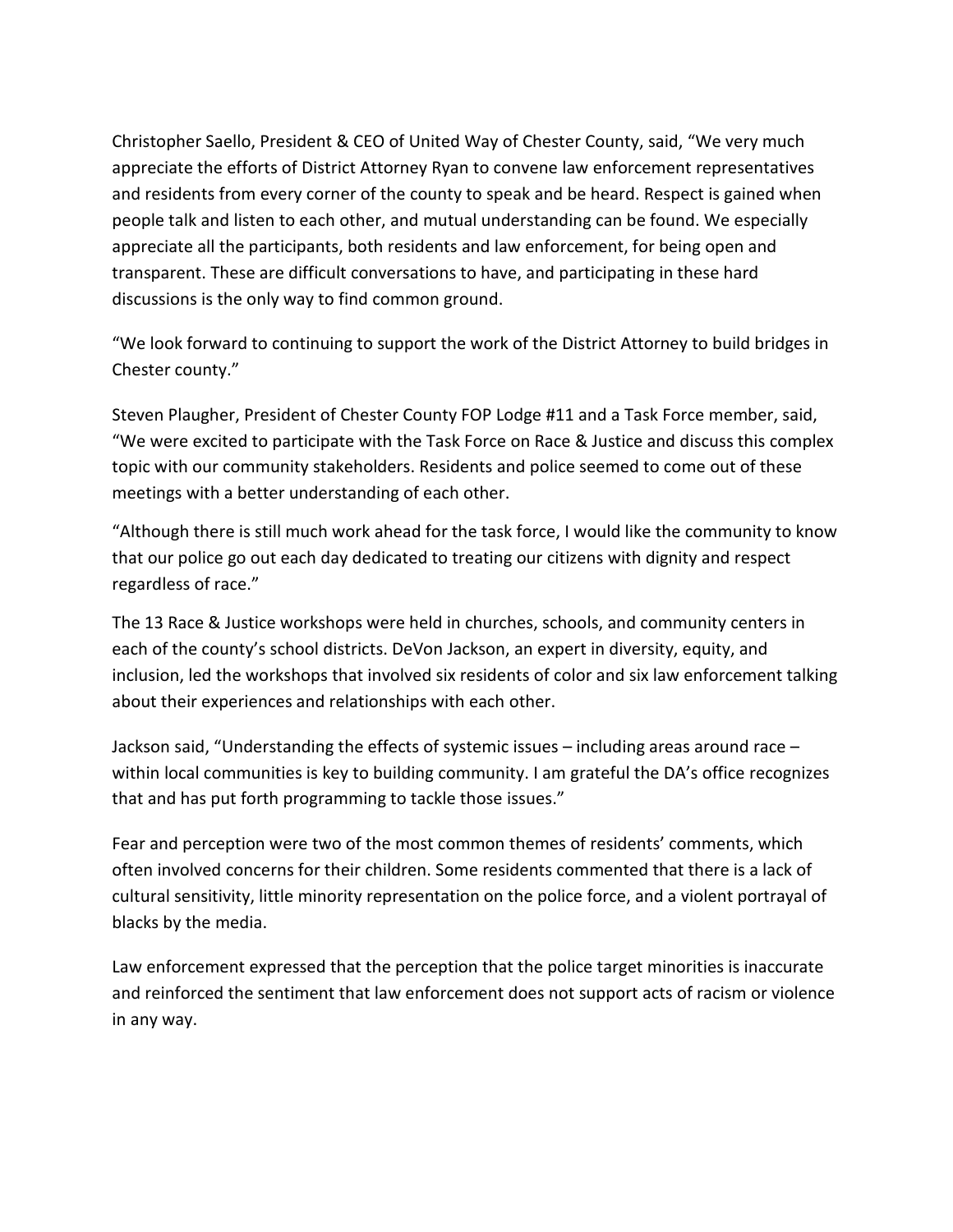Christopher Saello, President & CEO of United Way of Chester County, said, "We very much appreciate the efforts of District Attorney Ryan to convene law enforcement representatives and residents from every corner of the county to speak and be heard. Respect is gained when people talk and listen to each other, and mutual understanding can be found. We especially appreciate all the participants, both residents and law enforcement, for being open and transparent. These are difficult conversations to have, and participating in these hard discussions is the only way to find common ground.

"We look forward to continuing to support the work of the District Attorney to build bridges in Chester county."

Steven Plaugher, President of Chester County FOP Lodge #11 and a Task Force member, said, "We were excited to participate with the Task Force on Race & Justice and discuss this complex topic with our community stakeholders. Residents and police seemed to come out of these meetings with a better understanding of each other.

"Although there is still much work ahead for the task force, I would like the community to know that our police go out each day dedicated to treating our citizens with dignity and respect regardless of race."

The 13 Race & Justice workshops were held in churches, schools, and community centers in each of the county's school districts. DeVon Jackson, an expert in diversity, equity, and inclusion, led the workshops that involved six residents of color and six law enforcement talking about their experiences and relationships with each other.

Jackson said, "Understanding the effects of systemic issues – including areas around race – within local communities is key to building community. I am grateful the DA's office recognizes that and has put forth programming to tackle those issues."

Fear and perception were two of the most common themes of residents' comments, which often involved concerns for their children. Some residents commented that there is a lack of cultural sensitivity, little minority representation on the police force, and a violent portrayal of blacks by the media.

Law enforcement expressed that the perception that the police target minorities is inaccurate and reinforced the sentiment that law enforcement does not support acts of racism or violence in any way.